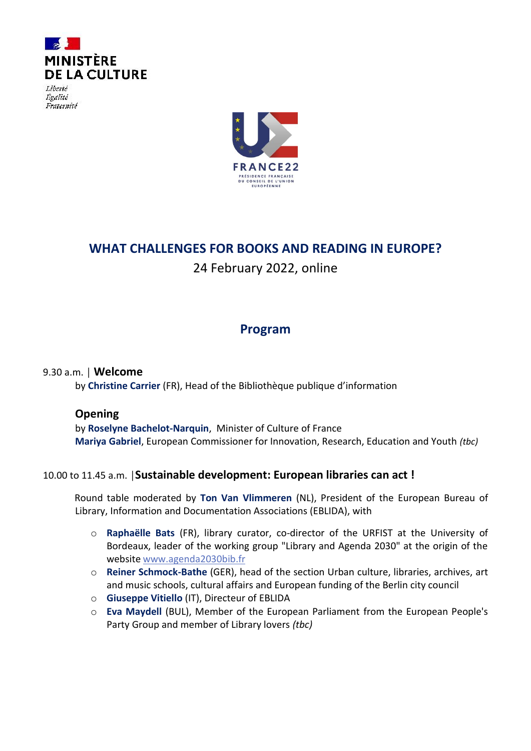

Liberté Égalité Fraternité



# **WHAT CHALLENGES FOR BOOKS AND READING IN EUROPE?**

24 February 2022, online

# **Program**

## 9.30 a.m. │ **Welcome**

by **Christine Carrier** (FR), Head of the Bibliothèque publique d'information

### **Opening**

by **Roselyne Bachelot-Narquin**, Minister of Culture of France **Mariya Gabriel**, European Commissioner for Innovation, Research, Education and Youth *(tbc)*

## 10.00 to 11.45 a.m. │**Sustainable development: European libraries can act !**

Round table moderated by **Ton Van Vlimmeren** (NL), President of the European Bureau of Library, Information and Documentation Associations (EBLIDA), with

- o **Raphaëlle Bats** (FR), library curator, co-director of the URFIST at the University of Bordeaux, leader of the working group "Library and Agenda 2030" at the origin of the website [www.agenda2030bib.fr](http://www.agenda2030bib.fr/)
- o **Reiner Schmock-Bathe** (GER), head of the section Urban culture, libraries, archives, art and music schools, cultural affairs and European funding of the Berlin city council
- o **Giuseppe Vitiello** (IT), Directeur of EBLIDA
- o **Eva Maydell** (BUL), Member of the European Parliament from the European People's Party Group and member of Library lovers *(tbc)*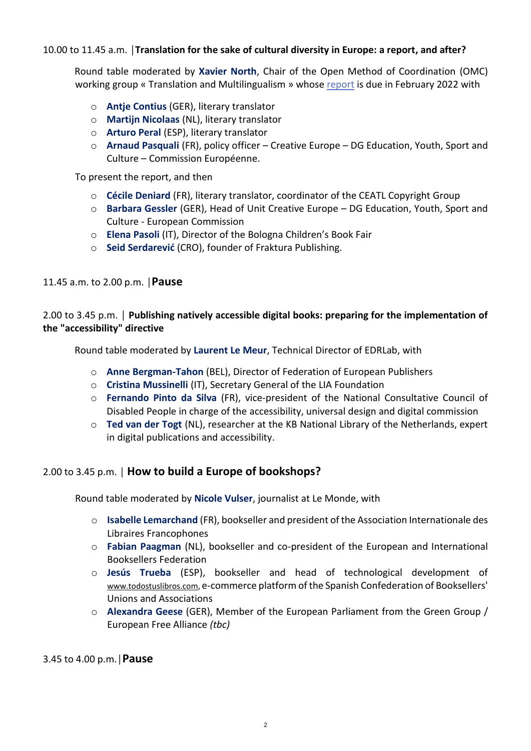#### 10.00 to 11.45 a.m. │**Translation for the sake of cultural diversity in Europe: a report, and after?**

Round table moderated by **Xavier North**, Chair of the Open Method of Coordination (OMC) working group « Translation and Multilingualism » whose [report](https://op.europa.eu/en/publication-detail/-/publication/a4059b86-8317-11ec-8c40-01aa75ed71a1/language-en) is due in February 2022 with

- o **Antje Contius** (GER), literary translator
- o **Martijn Nicolaas** (NL), literary translator
- o **Arturo Peral** (ESP), literary translator
- o **Arnaud Pasquali** (FR), policy officer Creative Europe DG Education, Youth, Sport and Culture – Commission Européenne.

To present the report, and then

- o **Cécile Deniard** (FR), literary translator, coordinator of the CEATL Copyright Group
- o **Barbara Gessler** (GER), Head of Unit Creative Europe DG Education, Youth, Sport and Culture - European Commission
- o **Elena Pasoli** (IT), Director of the Bologna Children's Book Fair
- o **Seid Serdarević** (CRO), founder of Fraktura Publishing.

11.45 a.m. to 2.00 p.m. │**Pause**

#### 2.00 to 3.45 p.m. │ **Publishing natively accessible digital books: preparing for the implementation of the "accessibility" directive**

Round table moderated by **Laurent Le Meur**, Technical Director of EDRLab, with

- o **Anne Bergman-Tahon** (BEL), Director of Federation of European Publishers
- o **Cristina Mussinelli** (IT), Secretary General of the LIA Foundation
- o **Fernando Pinto da Silva** (FR), vice-president of the National Consultative Council of Disabled People in charge of the accessibility, universal design and digital commission
- o **Ted van der Togt** (NL), researcher at the KB National Library of the Netherlands, expert in digital publications and accessibility.

#### 2.00 to 3.45 p.m. │ **How to build a Europe of bookshops?**

Round table moderated by **Nicole Vulser**, journalist at Le Monde, with

- o **Isabelle Lemarchand** (FR), bookseller and president of the Association Internationale des Libraires Francophones
- o **Fabian Paagman** (NL), bookseller and co-president of the European and International Booksellers Federation
- o **Jesús Trueba** (ESP), bookseller and head of technological development of [www.todostuslibros.com,](http://www.todostuslibros.com/) e-commerce platform of the Spanish Confederation of Booksellers' Unions and Associations
- o **Alexandra Geese** (GER), Member of the European Parliament from the Green Group / European Free Alliance *(tbc)*

3.45 to 4.00 p.m.│**Pause**